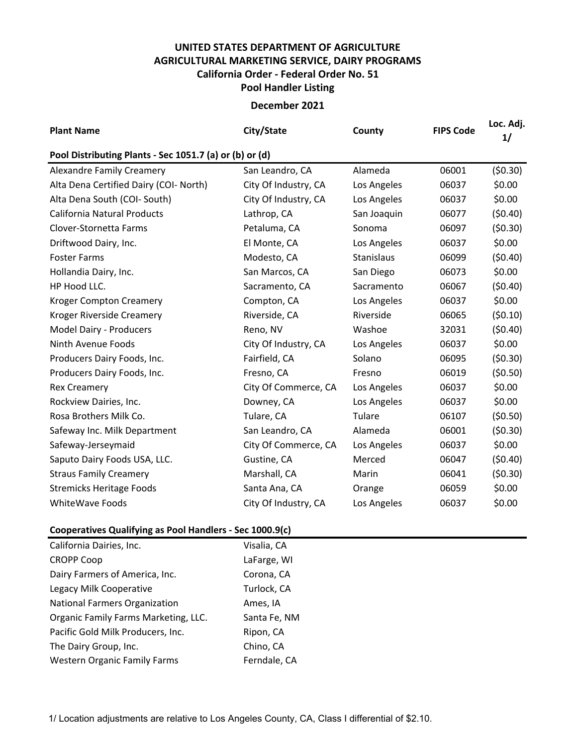## **UNITED STATES DEPARTMENT OF AGRICULTURE AGRICULTURAL MARKETING SERVICE, DAIRY PROGRAMS Pool Handler Listing California Order - Federal Order No. 51**

## **December 2021**

| <b>Plant Name</b>                                       | City/State           | County      | <b>FIPS Code</b> | Loc. Adj.<br>1/ |  |  |  |  |  |
|---------------------------------------------------------|----------------------|-------------|------------------|-----------------|--|--|--|--|--|
| Pool Distributing Plants - Sec 1051.7 (a) or (b) or (d) |                      |             |                  |                 |  |  |  |  |  |
| <b>Alexandre Family Creamery</b>                        | San Leandro, CA      | Alameda     | 06001            | (50.30)         |  |  |  |  |  |
| Alta Dena Certified Dairy (COI- North)                  | City Of Industry, CA | Los Angeles | 06037            | \$0.00          |  |  |  |  |  |
| Alta Dena South (COI- South)                            | City Of Industry, CA | Los Angeles | 06037            | \$0.00          |  |  |  |  |  |
| <b>California Natural Products</b>                      | Lathrop, CA          | San Joaquin | 06077            | (50.40)         |  |  |  |  |  |
| Clover-Stornetta Farms                                  | Petaluma, CA         | Sonoma      | 06097            | (50.30)         |  |  |  |  |  |
| Driftwood Dairy, Inc.                                   | El Monte, CA         | Los Angeles | 06037            | \$0.00          |  |  |  |  |  |
| <b>Foster Farms</b>                                     | Modesto, CA          | Stanislaus  | 06099            | (50.40)         |  |  |  |  |  |
| Hollandia Dairy, Inc.                                   | San Marcos, CA       | San Diego   | 06073            | \$0.00          |  |  |  |  |  |
| HP Hood LLC.                                            | Sacramento, CA       | Sacramento  | 06067            | (50.40)         |  |  |  |  |  |
| <b>Kroger Compton Creamery</b>                          | Compton, CA          | Los Angeles | 06037            | \$0.00          |  |  |  |  |  |
| Kroger Riverside Creamery                               | Riverside, CA        | Riverside   | 06065            | (50.10)         |  |  |  |  |  |
| Model Dairy - Producers                                 | Reno, NV             | Washoe      | 32031            | (50.40)         |  |  |  |  |  |
| Ninth Avenue Foods                                      | City Of Industry, CA | Los Angeles | 06037            | \$0.00          |  |  |  |  |  |
| Producers Dairy Foods, Inc.                             | Fairfield, CA        | Solano      | 06095            | (50.30)         |  |  |  |  |  |
| Producers Dairy Foods, Inc.                             | Fresno, CA           | Fresno      | 06019            | (50.50)         |  |  |  |  |  |
| <b>Rex Creamery</b>                                     | City Of Commerce, CA | Los Angeles | 06037            | \$0.00          |  |  |  |  |  |
| Rockview Dairies, Inc.                                  | Downey, CA           | Los Angeles | 06037            | \$0.00          |  |  |  |  |  |
| Rosa Brothers Milk Co.                                  | Tulare, CA           | Tulare      | 06107            | (50.50)         |  |  |  |  |  |
| Safeway Inc. Milk Department                            | San Leandro, CA      | Alameda     | 06001            | (50.30)         |  |  |  |  |  |
| Safeway-Jerseymaid                                      | City Of Commerce, CA | Los Angeles | 06037            | \$0.00          |  |  |  |  |  |
| Saputo Dairy Foods USA, LLC.                            | Gustine, CA          | Merced      | 06047            | (50.40)         |  |  |  |  |  |
| <b>Straus Family Creamery</b>                           | Marshall, CA         | Marin       | 06041            | (50.30)         |  |  |  |  |  |
| <b>Stremicks Heritage Foods</b>                         | Santa Ana, CA        | Orange      | 06059            | \$0.00          |  |  |  |  |  |
| <b>WhiteWave Foods</b>                                  | City Of Industry, CA | Los Angeles | 06037            | \$0.00          |  |  |  |  |  |

## **Cooperatives Qualifying as Pool Handlers - Sec 1000.9(c)**

| Visalia, CA  |
|--------------|
| LaFarge, WI  |
| Corona, CA   |
| Turlock, CA  |
| Ames, IA     |
| Santa Fe, NM |
| Ripon, CA    |
| Chino, CA    |
| Ferndale, CA |
|              |